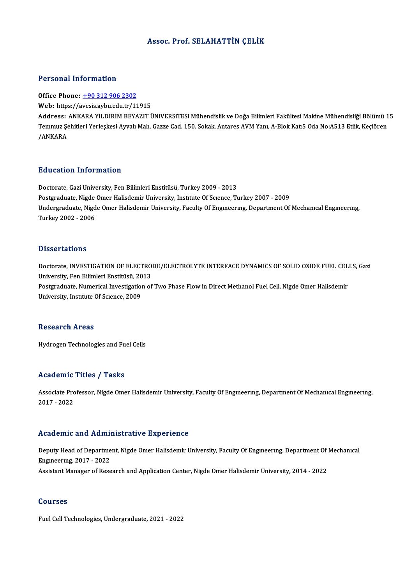### Assoc. Prof. SELAHATTİN ÇELİK

#### Personal Information

#### Office Phone: +90 312 906 2302

Web: https://a[vesis.aybu.edu.tr/11](tel:+90 312 906 2302)915

Office Phone: <u>+90 312 906 2302</u><br>Web: https://avesis.aybu.edu.tr/11915<br>Address: ANKARA YILDIRIM BEYAZIT ÜNiVERSiTESi Mühendislik ve Doğa Bilimleri Fakültesi Makine Mühendisliği Bölümü 15<br>Temmuz Sebitleri Yerleskesi Arrelı Web: https://avesis.aybu.edu.tr/11915<br>Address: ANKARA YILDIRIM BEYAZIT ÜNiVERSiTESi Mühendislik ve Doğa Bilimleri Fakültesi Makine Mühendisliği Bölümü 1<br>Temmuz Şehitleri Yerleşkesi Ayvalı Mah. Gazze Cad. 150. Sokak, Antare Address: .<br>Temmuz Şe<br>/ANKARA

### Education Information

Doctorate, Gazi University, Fen Bilimleri Enstitüsü, Turkey 2009 - 2013 Postgraduate, Nigde Omer Halisdemir University, Institute Of Science, Turkey 2007 - 2009 Doctorate, Gazi University, Fen Bilimleri Enstitüsü, Turkey 2009 - 2013<br>Postgraduate, Nigde Omer Halisdemir University, Institute Of Science, Turkey 2007 - 2009<br>Undergraduate, Nigde Omer Halisdemir University, Faculty Of E Postgraduate, Nigde<br>Undergraduate, Nigd<br>Turkey 2002 - 2006 Turkey 2002 - 2006<br>Dissertations

Dissertations<br>Doctorate, INVESTIGATION OF ELECTRODE/ELECTROLYTE INTERFACE DYNAMICS OF SOLID OXIDE FUEL CELLS, Gazi<br>University, For Bilimlori Enstitieri, 2013 D'isser tarrens<br>Doctorate, INVESTIGATION OF ELECTRO<br>University, Fen Bilimleri Enstitüsü, 2013<br>Postavaduate, Numerical Investigation of Doctorate, INVESTIGATION OF ELECTRODE/ELECTROLYTE INTERFACE DYNAMICS OF SOLID OXIDE FUEL CEL<br>University, Fen Bilimleri Enstitüsü, 2013<br>Postgraduate, Numerical Investigation of Two Phase Flow in Direct Methanol Fuel Cell, N University, Fen Bilimleri Enstitüsü, 2013<br>Postgraduate, Numerical Investigation of Two Phase Flow in Direct Methanol Fuel Cell, Nigde Omer Halisdemir<br>University, Institute Of Science, 2009

#### **Research Areas**

Hydrogen Technologies and Fuel Cells

#### Academic Titles / Tasks

Academic Titles / Tasks<br>Associate Professor, Nigde Omer Halisdemir University, Faculty Of Engıneerıng, Department Of Mechanıcal Engıneerıng,<br>2017–2022 Associate Pro<br>2017 - 2022

# Academic and Administrative Experience

Academic and Administrative Experience<br>Deputy Head of Department, Nigde Omer Halisdemir University, Faculty Of Engıneerıng, Department Of Mechanıcal<br>Enguneerung, 2017, 2022 Engua Santa Adama<br>Engineering, 2017 - 2022<br>Assistant Managar of Base Deputy Head of Department, Nigde Omer Halisdemir University, Faculty Of Engineering, Department Of<br>Engineering, 2017 - 2022<br>Assistant Manager of Research and Application Center, Nigde Omer Halisdemir University, 2014 - 202 Assistant Manager of Research and Application Center, Nigde Omer Halisdemir University, 2014 - 2022<br>Courses

Fuel Cell Technologies, Undergraduate, 2021 - 2022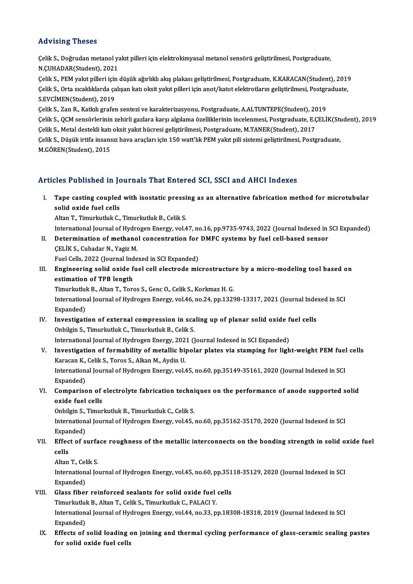### Advising Theses

Advising Theses<br>Çelik S., Doğrudan metanol yakıt pilleri için elektrokimyasal metanol sensörü geliştirilmesi, Postgraduate,<br>N.CUHADAR(Student), 2021 ra vienn<sub>e</sub><br>1998 (Celik S., Doğrudan metanol ya<br>N.ÇUHADAR(Student), 2021<br>Celik S., PEM velat pillori için Çelik S., Doğrudan metanol yakıt pilleri için elektrokimyasal metanol sensörü geliştirilmesi, Postgraduate,<br>N.ÇUHADAR(Student), 2021<br>Çelik S., PEM yakıt pilleri için düşük ağırlıklı akış plakası geliştirilmesi, Postgraduat

N.ÇUHADAR(Student), 2021<br>Çelik S., PEM yakıt pilleri için düşük ağırlıklı akış plakası geliştirilmesi, Postgraduate, K.KARACAN(Student), 2019<br>Çelik S., Orta sıcaklıklarda çalışan katı oksit yakıt pilleri için anot/katot el Çelik S., PEM yakıt pilleri için<br>Çelik S., Orta sıcaklıklarda ça<br>S.EVCİMEN(Student), 2019<br>Celik S. Zan B., Katlulı grafa Çelik S., Orta sıcaklıklarda çalışan katı oksit yakıt pilleri için anot/katot elektrotların geliştirilmesi, Postgraduate,<br>S.EVCİMEN(Student), 2019<br>Çelik S., Zan R., Katkılı grafen sentezi ve karakterizasyonu, Postgraduate, S.EVCİMEN(Student), 2019<br>Çelik S., Zan R., Katkılı grafen sentezi ve karakterizasyonu, Postgraduate, A.ALTUNTEPE(Student), 2019<br>Çelik S., QCM sensörlerinin zehirli gazlara karşı algılama özelliklerinin incelenmesi, Postgra

Çelik S., Zan R., Katkılı grafen sentezi ve karakterizasyonu, Postgraduate, A.ALTUNTEPE(Student), 20<br>Çelik S., QCM sensörlerinin zehirli gazlara karşı algılama özelliklerinin incelenmesi, Postgraduate, E.Ç<br>Çelik S., Metal

Çelik S., QCM sensörlerinin zehirli gazlara karşı algılama özelliklerinin incelenmesi, Postgraduate, E.ÇELİK(St<br>Çelik S., Metal destekli katı oksit yakıt hücresi geliştirilmesi, Postgraduate, M.TANER(Student), 2017<br>Çelik S Çelik S., Metal destekli katı oksit yakıt hücresi geliştirilmesi, Postgraduate, M.TANER(Student), 2017<br>Çelik S., Düşük irtifa insansız hava araçları için 150 watt'lık PEM yakıt pili sistemi geliştirilmesi, Postgraduate,<br>M.

### Articles Published in Journals That Entered SCI, SSCI and AHCI Indexes

rticles Published in Journals That Entered SCI, SSCI and AHCI Indexes<br>I. Tape casting coupled with isostatic pressing as an alternative fabrication method for microtubular<br>colid exide fuel sells solid oxide fuel cells<br>Tape casting coupled<br>Solid oxide fuel cells Tape casting coupled with isostatic pressi<br>solid oxide fuel cells<br>Altan T., Timurkutluk C., Timurkutluk B., Celik S.<br>International Journal of Hydrogen Energy vol.4

solid oxide fuel cells<br>Altan T., Timurkutluk C., Timurkutluk B., Celik S.<br>International Journal of Hydrogen Energy, vol.47, no.16, pp.9735-9743, 2022 (Journal Indexed in SCI Expanded)

- Altan T., Timurkutluk C., Timurkutluk B., Celik S.<br>International Journal of Hydrogen Energy, vol.47, no.16, pp.9735-9743, 2022 (Journal Indexed in All.<br>II. Determination of methanol concentration for DMFC systems by fuel c International Journal of Hydro<br>Determination of methano<br>ÇELİK S., Cuhadar N., Yagiz M.<br>Euel Celle 2022 (Journal Indo Determination of methanol concentration for<br>CELIK S., Cuhadar N., Yagiz M.<br>Fuel Cells, 2022 (Journal Indexed in SCI Expanded)<br>Engineering solid exide fuel soll electrode mis
- CELIK S., Cuhadar N., Yagiz M.<br>II. Engineering solid oxide fuel cell electrode microstructure by a micro-modeling tool based on<br>estimation of TBB length Fuel Cells, 2022 (Journal Ind<br>Engineering solid oxide f<br>estimation of TPB length<br>Timurkuluk B. Alton T. Tors Engineering solid oxide fuel cell electrode microstructur<br>estimation of TPB length<br>Timurkutluk B., Altan T., Toros S., Genc O., Celik S., Korkmaz H. G.<br>International Journal of Hydnogen Energy vol 46, no 24, np 1226

estimation of TPB length<br>Timurkutluk B., Altan T., Toros S., Genc O., Celik S., Korkmaz H. G.<br>International Journal of Hydrogen Energy, vol.46, no.24, pp.13298-13317, 2021 (Journal Indexed in SCI Timurkutlul<br>Internation:<br>Expanded)<br>Investigati International Journal of Hydrogen Energy, vol.46, no.24, pp.13298-13317, 2021 (Journal Inde Expanded)<br>IV. Investigation of external compression in scaling up of planar solid oxide fuel cells<br>Onbilgin S. Timurlarluk G. Timu

- Expanded)<br>Investigation of external compression in scaling up of planar solid oxide 1<br>Onbilgin S., Timurkutluk C., Timurkutluk B., Celik S.<br>International Journal of Hydrogen Energy, 2021 (Journal Indexed in SCI Expanded) Investigation of external compression in scaling up of planar solid oxide f<br>Onbilgin S., Timurkutluk C., Timurkutluk B., Celik S.<br>International Journal of Hydrogen Energy, 2021 (Journal Indexed in SCI Expanded)<br>Investigati
- 
- V. Investigation of formability of metallic bipolar plates via stamping for light-weight PEM fuel cells International Journal of Hydrogen Energy, 202<br>Investigation of formability of metallic bij<br>Karacan K., Celik S., Toros S., Alkan M., Aydin U.<br>International Journal of Hydrogen Energy vol International Journal of Hydrogen Energy, vol.45, no.60, pp.35149-35161, 2020 (Journal Indexed in SCI<br>Expanded) Karacan K.,<br>Internation:<br>Expanded)<br>Comparies International Journal of Hydrogen Energy, vol.45, no.60, pp.35149-35161, 2020 (Journal Indexed in SCI<br>Expanded)<br>VI. Comparison of electrolyte fabrication techniques on the performance of anode supported solid<br>avide fuel so
- Expanded)<br>Comparison of<br>oxide fuel cells<br>Onbilgin S. Timur Comparison of electrolyte fabrication techni<br>oxide fuel cells<br>Onbilgin S., Timurkutluk B., Timurkutluk C., Celik S.<br>International Journal of Hydrogen Fnergy vol.45

oxide fuel cells<br>Onbilgin S., Timurkutluk B., Timurkutluk C., Celik S.<br>International Journal of Hydrogen Energy, vol.45, no.60, pp.35162-35170, 2020 (Journal Indexed in SCI Onbilgin S.,<br>Internation:<br>Expanded)<br>Effect of s International Journal of Hydrogen Energy, vol.45, no.60, pp.35162-35170, 2020 (Journal Indexed in SCI<br>Expanded)<br>VII. Effect of surface roughness of the metallic interconnects on the bonding strength in solid oxide fuel<br>cal

## Expar<br>Effec<br>cells<br>Altan Effect of surfa<br>cells<br>Altan T., Celik S.<br>International Io

cells<br>Altan T., Celik S.<br>International Journal of Hydrogen Energy, vol.45, no.60, pp.35118-35129, 2020 (Journal Indexed in SCI<br>Evnanded) Altan T., Cel<br>Internation:<br>Expanded)<br>Class fiber International Journal of Hydrogen Energy, vol.45, no.60, pp.351<br>Expanded)<br>VIII. Glass fiber reinforced sealants for solid oxide fuel cells<br>Timurkutluk P. Altan T. Colik S. Timurkutluk C. PALACLY

# Expanded)<br>Glass fiber reinforced sealants for solid oxide fuel cells<br>Timurkutluk B., Altan T., Celik S., Timurkutluk C., PALACI Y.

Glass fiber reinforced sealants for solid oxide fuel cells<br>Timurkutluk B., Altan T., Celik S., Timurkutluk C., PALACI Y.<br>International Journal of Hydrogen Energy, vol.44, no.33, pp.18308-18318, 2019 (Journal Indexed in SCI Timurkutlul<br>Internation:<br>Expanded)<br>Effects of International Journal of Hydrogen Energy, vol.44, no.33, pp.18308-18318, 2019 (Journal Indexed in SCI<br>Expanded)<br>IX. Effects of solid loading on joining and thermal cycling performance of glass-ceramic sealing pastes<br>for so

Expanded)<br>IX. Effects of solid loading on joining and thermal cycling performance of glass-ceramic sealing pastes<br>for solid oxide fuel cells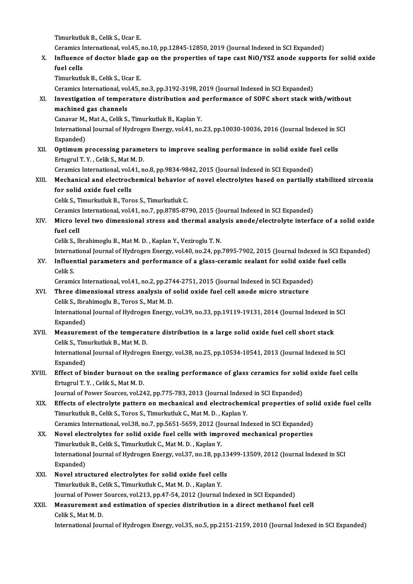TimurkutlukB.,CelikS.,Ucar E.

Timurkutluk B., Celik S., Ucar E.<br>Ceramics International, vol.45, no.10, pp.12845-12850, 2019 (Journal Indexed in SCI Expanded)<br>Influence of destar blade san en the preparties of tape sest NiO/YSZ anode supports

X. Influence of doctor blade gap on the properties of tape cast NiO/YSZ anode supports for solid oxide Ceramics I<br>I<mark>nfluence</mark><br>fuel cells<br>Timurlath

Timurkutluk B., Celik S., Ucar E.

Ceramics International, vol.45, no.3, pp.3192-3198, 2019 (Journal Indexed in SCI Expanded)

### Timurkutluk B., Celik S., Ucar E.<br>Ceramics International, vol.45, no.3, pp.3192-3198, 2019 (Journal Indexed in SCI Expanded)<br>XI. Investigation of temperature distribution and performance of SOFC short stack with/without<br>ma Ceramics International, volumes<br>**Investigation of temper**<br>machined gas channels<br>Canavar M. Mat A. Colik S. Investigation of temperature distribution and<br>machined gas channels<br>Canavar M., Mat A., Celik S., Timurkutluk B., Kaplan Y.<br>International Journal of Hydrogen Energy vol.44, no.

machined gas channels<br>Canavar M., Mat A., Celik S., Timurkutluk B., Kaplan Y.<br>International Journal of Hydrogen Energy, vol.41, no.23, pp.10030-10036, 2016 (Journal Indexed in SCI<br>Evnanded) Canavar M.,<br>Internation:<br>Expanded)<br>Ontimum International Journal of Hydrogen Energy, vol.41, no.23, pp.10030-10036, 2016 (Journal Indexed in S<br>Expanded)<br>XII. Optimum processing parameters to improve sealing performance in solid oxide fuel cells<br>Fiture of The S. Mat

Expanded)<br>XII. Optimum processing parameters to improve sealing performance in solid oxide fuel cells<br>Ertugrul T. Y., Celik S., Mat M. D. Optimum processing parameters to improve sealing performance in solid oxide functional, and the D.<br>Ertugrul T. Y. , Celik S., Mat M. D.<br>Ceramics International, vol.41, no.8, pp.9834-9842, 2015 (Journal Indexed in SCI Expan

Ertugrul T. Y. , Celik S., Mat M. D.<br>Ceramics International, vol.41, no.8, pp.9834-9842, 2015 (Journal Indexed in SCI Expanded)<br>XIII. Mechanical and electrochemical behavior of novel electrolytes based on partially stabili Ceramics International, vol.4<br>Mechanical and electrock<br>for solid oxide fuel cells<br>Celik S. Timurkuluk P. Tore Mechanical and electrochemical behavior<br>for solid oxide fuel cells<br>Celik S., Timurkutluk B., Toros S., Timurkutluk C.<br>Coromics International val 41, no 7, np 9795, 97 for solid oxide fuel cells<br>Celik S., Timurkutluk B., Toros S., Timurkutluk C.<br>Ceramics International, vol.41, no.7, pp.8785-8790, 2015 (Journal Indexed in SCI Expanded)

### Celik S., Timurkutluk B., Toros S., Timurkutluk C.<br>Ceramics International, vol.41, no.7, pp.8785-8790, 2015 (Journal Indexed in SCI Expanded)<br>XIV. Micro level two dimensional stress and thermal analysis anode/electrolyte i Ceramic<mark>:</mark><br>Micro le<br>fuel cell<br><sup>Colib</sup> S fuel cell<br>Celik S., Ibrahimoglu B., Mat M. D. , Kaplan Y., Veziroglu T. N.

International Journal of Hydrogen Energy, vol.40, no.24, pp.7895-7902, 2015 (Journal Indexed in SCI Expanded)

Celik S., Ibrahimoglu B., Mat M. D. , Kaplan Y., Veziroglu T. N.<br>International Journal of Hydrogen Energy, vol.40, no.24, pp.7895-7902, 2015 (Journal Indexed in SCI Exp.<br>XV. Influential parameters and performance of a glas Interna<br>I<mark>nfluer</mark><br>Celik S.<br>Ceremi Influential parameters and performance of a glass-ceramic sealant for solid oxide<br>Celik S.<br>Ceramics International, vol.41, no.2, pp.2744-2751, 2015 (Journal Indexed in SCI Expanded)<br>Three dimensional stress analysis of sol Celik S.<br>Ceramics International, vol.41, no.2, pp.2744-2751, 2015 (Journal Indexed in SCI Expanded<br>XVI. Three dimensional stress analysis of solid oxide fuel cell anode micro structure

Ceramics International, vol.41, no.2, pp.2744-2751, 2015 (Journal Indexed in SCI Expanded)

# Celik S., Ibrahimoglu B., Toros S., Mat M. D.

International Journal of Hydrogen Energy, vol.39, no.33, pp.19119-19131, 2014 (Journal Indexed in SCI<br>Expanded) International Journal of Hydrogen Energy, vol.39, no.33, pp.19119-19131, 2014 (Journal Indexed in<br>Expanded)<br>XVII. Measurement of the temperature distribution in a large solid oxide fuel cell short stack<br>Celik S. Timurluthu

## Expanded)<br>Measurement of the temperat<br>Celik S., Timurkutluk B., Mat M. D.<br>International Journal of Hydnoge Measurement of the temperature distribution in a large solid oxide fuel cell short stack<br>Celik S., Timurkutluk B., Mat M. D.<br>International Journal of Hydrogen Energy, vol.38, no.25, pp.10534-10541, 2013 (Journal Indexed in

Celik S., Tim<br>Internation:<br>Expanded)<br>Effect of b International Journal of Hydrogen Energy, vol.38, no.25, pp.10534-10541, 2013 (Journal Indexed in SCI<br>Expanded)<br>XVIII. Effect of binder burnout on the sealing performance of glass ceramics for solid oxide fuel cells<br>Expans

## Expanded)<br>Effect of binder burnout on<br>Ertugrul T.Y. , Celik S., Mat M. D.<br>Journal of Bouer Sources vol 24 Effect of binder burnout on the sealing performance of glass ceramics for soli<br>Ertugrul T. Y. , Celik S., Mat M. D.<br>Journal of Power Sources, vol.242, pp.775-783, 2013 (Journal Indexed in SCI Expanded)<br>Effects of electroly

Ertugrul T. Y. , Celik S., Mat M. D.<br>Journal of Power Sources, vol.242, pp.775-783, 2013 (Journal Indexed in SCI Expanded)<br>XIX. Effects of electrolyte pattern on mechanical and electrochemical properties of solid oxide fue Journal of Power Sources, vol.242, pp.775-783, 2013 (Journal Indexed in SCI Expanded)<br>Effects of electrolyte pattern on mechanical and electrochemical properties of sol<br>Timurkutluk B., Celik S., Toros S., Timurkutluk C., M Effects of electrolyte pattern on mechanical and electrochemical properties of sol<br>Timurkutluk B., Celik S., Toros S., Timurkutluk C., Mat M. D. , Kaplan Y.<br>Ceramics International, vol.38, no.7, pp.5651-5659, 2012 (Journal

### XX. Novel electrolytes for solid oxide fuel cells with improved mechanical properties TimurkutlukB.,CelikS.,TimurkutlukC.,MatM.D. ,KaplanY. Novel electrolytes for solid oxide fuel cells with improved mechanical properties<br>Timurkutluk B., Celik S., Timurkutluk C., Mat M. D. , Kaplan Y.<br>International Journal of Hydrogen Energy, vol.37, no.18, pp.13499-13509, 201 Timurkutlul<br>Internation:<br>Expanded)<br>Novel stru International Journal of Hydrogen Energy, vol.37, no.18, pp.13<br>Expanded)<br>XXI. Novel structured electrolytes for solid oxide fuel cells<br>Timurkuluk B. Colik S. Timurkuluk C. Mat M. D. Kanlan V.

Expanded)<br>Novel structured electrolytes for solid oxide fuel cells<br>Timurkutluk B., Celik S., Timurkutluk C., Mat M. D. , Kaplan Y. Novel structured electrolytes for solid oxide fuel cells<br>Timurkutluk B., Celik S., Timurkutluk C., Mat M. D. , Kaplan Y.<br>Journal of Power Sources, vol.213, pp.47-54, 2012 (Journal Indexed in SCI Expanded)<br>Measurement and e

### XXII. Measurement and estimation of species distribution in a direct methanol fuel cell<br>Celik S., Mat M. D. Journal of Power<br>Measurement a<br>Celik S., Mat M. D.<br>International Jour

International Journal of Hydrogen Energy, vol.35, no.5, pp.2151-2159, 2010 (Journal Indexed in SCI Expanded)